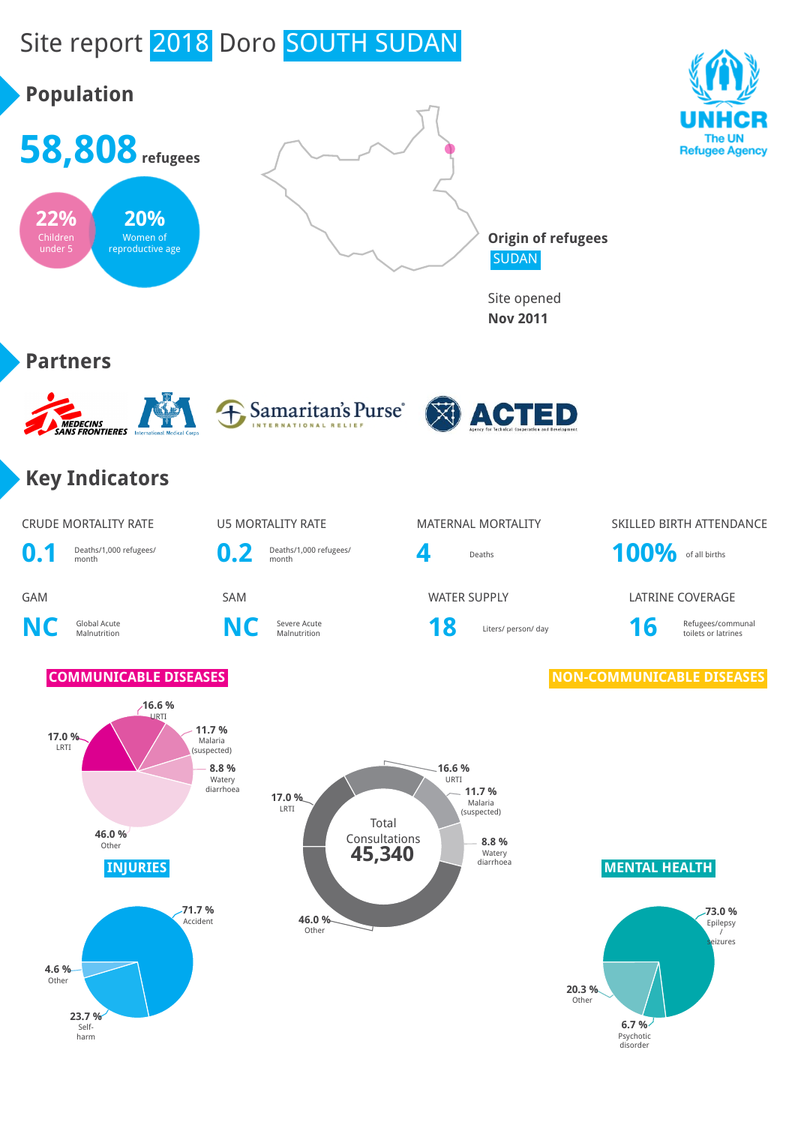# Site report 2018 Doro SOUTH SUDAN

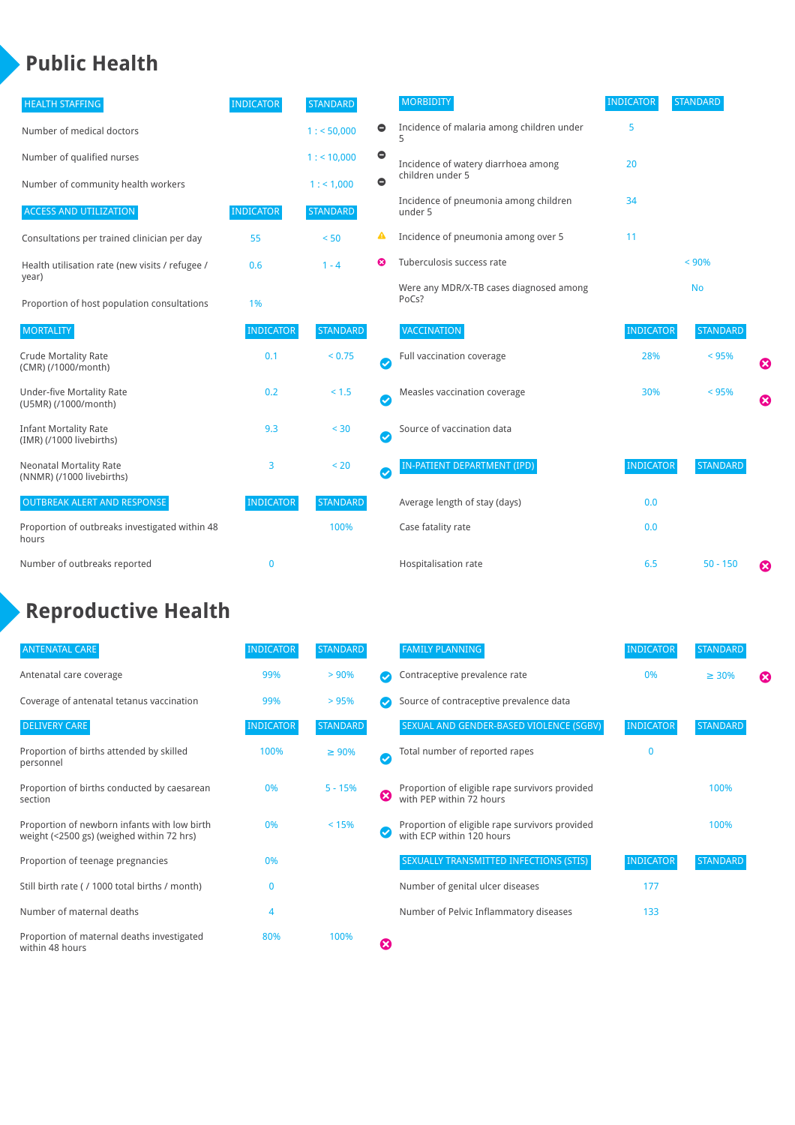### **Public Health**

| <b>HEALTH STAFFING</b>                                      | <b>INDICATOR</b> | <b>STANDARD</b> |           | <b>MORBIDITY</b>                                 | <b>INDICATOR</b> | <b>STANDARD</b> |   |
|-------------------------------------------------------------|------------------|-----------------|-----------|--------------------------------------------------|------------------|-----------------|---|
| Number of medical doctors                                   |                  | 1: 50,000       | $\bullet$ | Incidence of malaria among children under        | 5                |                 |   |
| Number of qualified nurses                                  |                  | 1:10,000        | $\bullet$ | Incidence of watery diarrhoea among              | 20               |                 |   |
| Number of community health workers                          |                  | 1: 1,000        | $\bullet$ | children under 5                                 |                  |                 |   |
| <b>ACCESS AND UTILIZATION</b>                               | <b>INDICATOR</b> | <b>STANDARD</b> |           | Incidence of pneumonia among children<br>under 5 | 34               |                 |   |
| Consultations per trained clinician per day                 | 55               | < 50            | ▲         | Incidence of pneumonia among over 5              | 11               |                 |   |
| Health utilisation rate (new visits / refugee /             | 0.6              | $1 - 4$         | ೞ         | Tuberculosis success rate                        |                  | < 90%           |   |
| year)<br>Proportion of host population consultations        | 1%               |                 |           | Were any MDR/X-TB cases diagnosed among<br>PoCs? |                  | <b>No</b>       |   |
| <b>MORTALITY</b>                                            | <b>INDICATOR</b> | <b>STANDARD</b> |           | VACCINATION                                      | <b>INDICATOR</b> | <b>STANDARD</b> |   |
| <b>Crude Mortality Rate</b><br>(CMR) (/1000/month)          | 0.1              | < 0.75          | Ø         | Full vaccination coverage                        | 28%              | < 95%           | Ø |
| <b>Under-five Mortality Rate</b><br>(U5MR) (/1000/month)    | 0.2              | < 1.5           | Ø         | Measles vaccination coverage                     | 30%              | < 95%           | Ø |
| <b>Infant Mortality Rate</b><br>(IMR) (/1000 livebirths)    | 9.3              | < 30            | Ø         | Source of vaccination data                       |                  |                 |   |
| <b>Neonatal Mortality Rate</b><br>(NNMR) (/1000 livebirths) | 3                | < 20            | $\bullet$ | IN-PATIENT DEPARTMENT (IPD)                      | <b>INDICATOR</b> | <b>STANDARD</b> |   |
| <b>OUTBREAK ALERT AND RESPONSE</b>                          | <b>INDICATOR</b> | <b>STANDARD</b> |           | Average length of stay (days)                    | 0.0              |                 |   |
| Proportion of outbreaks investigated within 48<br>hours     |                  | 100%            |           | Case fatality rate                               | 0.0              |                 |   |
| Number of outbreaks reported                                | $\bf{0}$         |                 |           | Hospitalisation rate                             | 6.5              | $50 - 150$      | ೞ |

## **Reproductive Health**

| <b>ANTENATAL CARE</b>                                                                     | <b>INDICATOR</b> | <b>STANDARD</b> |   | <b>FAMILY PLANNING</b>                                                      | <b>INDICATOR</b> | <b>STANDARD</b> |   |
|-------------------------------------------------------------------------------------------|------------------|-----------------|---|-----------------------------------------------------------------------------|------------------|-----------------|---|
| Antenatal care coverage                                                                   | 99%              | > 90%           |   | Contraceptive prevalence rate                                               | 0%               | $\geq 30\%$     | ⊠ |
| Coverage of antenatal tetanus vaccination                                                 | 99%              | >95%            |   | Source of contraceptive prevalence data                                     |                  |                 |   |
| <b>DELIVERY CARE</b>                                                                      | <b>INDICATOR</b> | <b>STANDARD</b> |   | SEXUAL AND GENDER-BASED VIOLENCE (SGBV)                                     | <b>INDICATOR</b> | <b>STANDARD</b> |   |
| Proportion of births attended by skilled<br>personnel                                     | 100%             | $\geq 90\%$     | Ø | Total number of reported rapes                                              | O                |                 |   |
| Proportion of births conducted by caesarean<br>section                                    | 0%               | $5 - 15%$       | ೞ | Proportion of eligible rape survivors provided<br>with PEP within 72 hours  |                  | 100%            |   |
| Proportion of newborn infants with low birth<br>weight (<2500 gs) (weighed within 72 hrs) | 0%               | < 15%           |   | Proportion of eligible rape survivors provided<br>with ECP within 120 hours |                  | 100%            |   |
| Proportion of teenage pregnancies                                                         | 0%               |                 |   | SEXUALLY TRANSMITTED INFECTIONS (STIS)                                      | <b>INDICATOR</b> | <b>STANDARD</b> |   |
| Still birth rate (/1000 total births / month)                                             |                  |                 |   | Number of genital ulcer diseases                                            | 177              |                 |   |
| Number of maternal deaths                                                                 | 4                |                 |   | Number of Pelvic Inflammatory diseases                                      | 133              |                 |   |
| Proportion of maternal deaths investigated<br>within 48 hours                             | 80%              | 100%            | ظ |                                                                             |                  |                 |   |